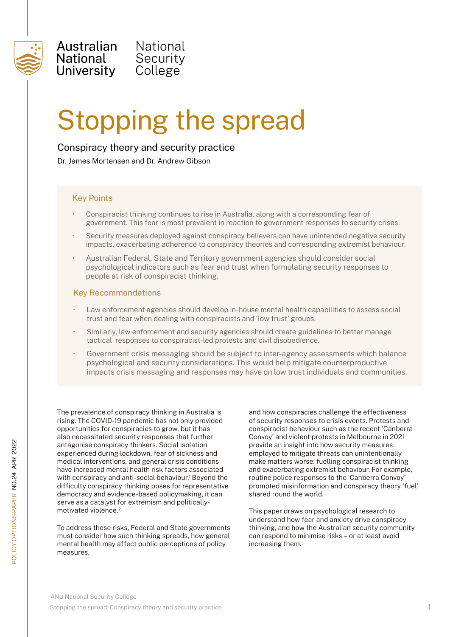

Australian National National University

# Stopping the spread

### Conspiracy theory and security practice

Security

College

Dr. James Mortensen and Dr. Andrew Gibson

#### Key Points

- Conspiracist thinking continues to rise in Australia, along with a corresponding fear of government. This fear is most prevalent in reaction to government responses to security crises.
- Security measures deployed against conspiracy believers can have unintended negative security impacts, exacerbating adherence to conspiracy theories and corresponding extremist behaviour.
- Australian Federal, State and Territory government agencies should consider social psychological indicators such as fear and trust when formulating security responses to people at risk of conspiracist thinking.

#### Key Recommendations

- Law enforcement agencies should develop in-house mental health capabilities to assess social trust and fear when dealing with conspiracists and 'low trust' groups.
- Similarly, law enforcement and security agencies should create guidelines to better manage tactical responses to conspiracist-led protests and civil disobedience.
- Government crisis messaging should be subject to inter-agency assessments which balance psychological and security considerations. This would help mitigate counterproductive impacts crisis messaging and responses may have on low trust individuals and communities.

The prevalence of conspiracy thinking in Australia is rising. The COVID-19 pandemic has not only provided opportunities for conspiracies to grow, but it has also necessitated security responses that further antagonise conspiracy thinkers. Social isolation experienced during lockdown, fear of sickness and medical interventions, and general crisis conditions have increased mental health risk factors associated with conspiracy and anti-social behaviour.<sup>1</sup> Beyond the difficulty conspiracy thinking poses for representative democracy and evidence-based policymaking, it can serve as a catalyst for extremism and politicallymotivated violence.<sup>2</sup>

To address these risks, Federal and State governments must consider how such thinking spreads, how general mental health may affect public perceptions of policy measures,

and how conspiracies challenge the effectiveness of security responses to crisis events. Protests and conspiracist behaviour such as the recent 'Canberra Convoy' and violent protests in Melbourne in 2021 provide an insight into how security measures employed to mitigate threats can unintentionally make matters worse: fuelling conspiracist thinking and exacerbating extremist behaviour. For example, routine police responses to the 'Canberra Convoy' prompted misinformation and conspiracy theory 'fuel' shared round the world.

This paper draws on psychological research to understand how fear and anxiety drive conspiracy thinking, and how the Australian security community can respond to minimise risks – or at least avoid increasing them.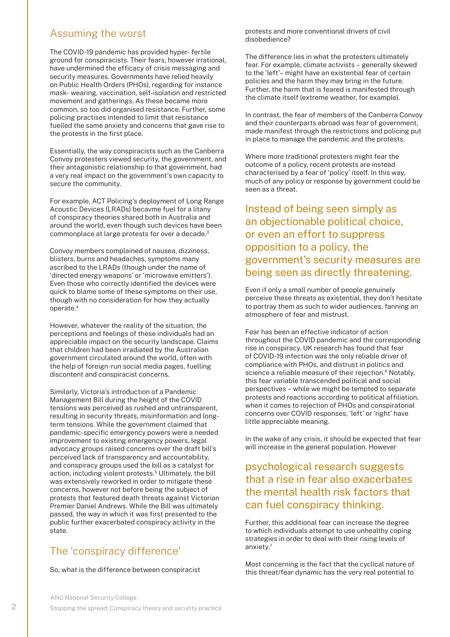## Assuming the worst

The COVID-19 pandemic has provided hyper- fertile ground for conspiracists. Their fears, however irrational, have undermined the efficacy of crisis messaging and security measures. Governments have relied heavily on Public Health Orders (PHOs), regarding for instance mask- wearing, vaccination, self-isolation and restricted movement and gatherings. As these became more common, so too did organised resistance. Further, some policing practises intended to limit that resistance fuelled the same anxiety and concerns that gave rise to the protests in the first place.

Essentially, the way conspiracists such as the Canberra Convoy protesters viewed security, the government, and their antagonistic relationship to that government, had a very real impact on the government's own capacity to secure the community.

For example, ACT Policing's deployment of Long Range Acoustic Devices (LRADs) becavme fuel for a litany of conspiracy theories shared both in Australia and around the world, even though such devices have been commonplace at large protests for over a decade.3

Convoy members complained of nausea, dizziness, blisters, burns and headaches, symptoms many ascribed to the LRADs (though under the name of 'directed energy weapons' or 'microwave emitters'). Even those who correctly identified the devices were quick to blame some of these symptoms on their use, though with no consideration for how they actually operate.4

However, whatever the reality of the situation, the perceptions and feelings of these individuals had an appreciable impact on the security landscape. Claims that children had been irradiated by the Australian government circulated around the world, often with the help of foreign-run social media pages, fuelling discontent and conspiracist concerns.

Similarly, Victoria's introduction of a Pandemic Management Bill during the height of the COVID tensions was perceived as rushed and untransparent, resulting in security threats, misinformation and longterm tensions. While the government claimed that pandemic-specific emergency powers were a needed improvement to existing emergency powers, legal advocacy groups raised concerns over the draft bill's perceived lack of transparency and accountability, and conspiracy groups used the bill as a catalyst for action, including violent protests.<sup>5</sup> Ultimately, the bill was extensively reworked in order to mitigate these concerns, however not before being the subject of protests that featured death threats against Victorian Premier Daniel Andrews. While the Bill was ultimately passed, the way in which it was first presented to the public further exacerbated conspiracy activity in the state.

## The 'conspiracy difference'

So, what is the difference between conspiracist

protests and more conventional drivers of civil disobedience?

The difference lies in what the protesters ultimately fear. For example, climate activists – generally skewed to the 'left'– might have an existential fear of certain policies and the harm they may bring in the future. Further, the harm that is feared is manifested through the climate itself (extreme weather, for example).

In contrast, the fear of members of the Canberra Convoy and their counterparts abroad was fear of government, made manifest through the restrictions and policing put in place to manage the pandemic and the protests.

Where more traditional protesters might fear the outcome of a policy, recent protests are instead characterised by a fear of 'policy' itself. In this way, much of any policy or response by government could be seen as a threat.

Instead of being seen simply as an objectionable political choice, or even an effort to suppress opposition to a policy, the government's security measures are being seen as directly threatening.

Even if only a small number of people genuinely perceive these threats as existential, they don't hesitate to portray them as such to wider audiences, fanning an atmosphere of fear and mistrust.

Fear has been an effective indicator of action throughout the COVID pandemic and the corresponding rise in conspiracy. UK research has found that fear of COVID-19 infection was the only reliable driver of compliance with PHOs, and distrust in politics and science a reliable measure of their rejection.<sup>6</sup> Notably, this fear variable transcended political and social perspectives – while we might be tempted to separate protests and reactions according to political affiliation, when it comes to rejection of PHOs and conspiratorial concerns over COVID responses, 'left' or 'right' have little appreciable meaning.

In the wake of any crisis, it should be expected that fear will increase in the general population. However

# psychological research suggests that a rise in fear also exacerbates the mental health risk factors that can fuel conspiracy thinking.

Further, this additional fear can increase the degree to which individuals attempt to use unhealthy coping strategies in order to deal with their rising levels of anxiety.7

Most concerning is the fact that the cyclical nature of this threat/fear dynamic has the very real potential to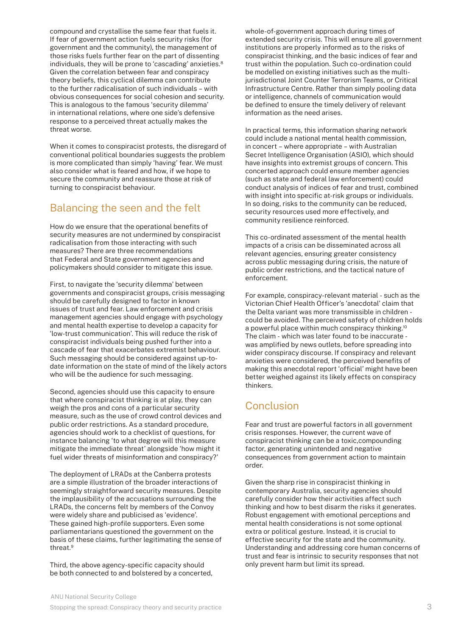compound and crystallise the same fear that fuels it. If fear of government action fuels security risks (for government and the community), the management of those risks fuels further fear on the part of dissenting individuals, they will be prone to 'cascading' anxieties.<sup>8</sup> Given the correlation between fear and conspiracy theory beliefs, this cyclical dilemma can contribute to the further radicalisation of such individuals – with obvious consequences for social cohesion and security. This is analogous to the famous 'security dilemma' in international relations, where one side's defensive response to a perceived threat actually makes the threat worse.

When it comes to conspiracist protests, the disregard of conventional political boundaries suggests the problem is more complicated than simply 'having' fear. We must also consider what is feared and how, if we hope to secure the community and reassure those at risk of turning to conspiracist behaviour.

## Balancing the seen and the felt

How do we ensure that the operational benefits of security measures are not undermined by conspiracist radicalisation from those interacting with such measures? There are three recommendations that Federal and State government agencies and policymakers should consider to mitigate this issue.

First, to navigate the 'security dilemma' between governments and conspiracist groups, crisis messaging should be carefully designed to factor in known issues of trust and fear. Law enforcement and crisis management agencies should engage with psychology and mental health expertise to develop a capacity for 'low-trust communication'. This will reduce the risk of conspiracist individuals being pushed further into a cascade of fear that exacerbates extremist behaviour. Such messaging should be considered against up-todate information on the state of mind of the likely actors who will be the audience for such messaging.

Second, agencies should use this capacity to ensure that where conspiracist thinking is at play, they can weigh the pros and cons of a particular security measure, such as the use of crowd control devices and public order restrictions. As a standard procedure, agencies should work to a checklist of questions, for instance balancing 'to what degree will this measure mitigate the immediate threat' alongside 'how might it fuel wider threats of misinformation and conspiracy?'

The deployment of LRADs at the Canberra protests are a simple illustration of the broader interactions of seemingly straightforward security measures. Despite the implausibility of the accusations surrounding the LRADs, the concerns felt by members of the Convoy were widely share and publicised as 'evidence'. These gained high-profile supporters. Even some parliamentarians questioned the government on the basis of these claims, further legitimating the sense of threat.9

Third, the above agency-specific capacity should be both connected to and bolstered by a concerted,

whole-of-government approach during times of extended security crisis. This will ensure all government institutions are properly informed as to the risks of conspiracist thinking, and the basic indices of fear and trust within the population. Such co-ordination could be modelled on existing initiatives such as the multijurisdictional Joint Counter Terrorism Teams, or Critical Infrastructure Centre. Rather than simply pooling data or intelligence, channels of communication would be defined to ensure the timely delivery of relevant information as the need arises.

In practical terms, this information sharing network could include a national mental health commission, in concert – where appropriate – with Australian Secret Intelligence Organisation (ASIO), which should have insights into extremist groups of concern. This concerted approach could ensure member agencies (such as state and federal law enforcement) could conduct analysis of indices of fear and trust, combined with insight into specific at-risk groups or individuals. In so doing, risks to the community can be reduced, security resources used more effectively, and community resilience reinforced.

This co-ordinated assessment of the mental health impacts of a crisis can be disseminated across all relevant agencies, ensuring greater consistency across public messaging during crisis, the nature of public order restrictions, and the tactical nature of enforcement.

For example, conspiracy-relevant material - such as the Victorian Chief Health Officer's 'anecdotal' claim that the Delta variant was more transmissible in children could be avoided. The perceived safety of children holds a powerful place within much conspiracy thinking.10 The claim - which was later found to be inaccurate was amplified by news outlets, before spreading into wider conspiracy discourse. If conspiracy and relevant anxieties were considered, the perceived benefits of making this anecdotal report 'official' might have been better weighed against its likely effects on conspiracy thinkers.

# **Conclusion**

Fear and trust are powerful factors in all government crisis responses. However, the current wave of conspiracist thinking can be a toxic,compounding factor, generating unintended and negative consequences from government action to maintain order.

Given the sharp rise in conspiracist thinking in contemporary Australia, security agencies should carefully consider how their activities affect such thinking and how to best disarm the risks it generates. Robust engagement with emotional perceptions and mental health considerations is not some optional extra or political gesture. Instead, it is crucial to effective security for the state and the community. Understanding and addressing core human concerns of trust and fear is intrinsic to security responses that not only prevent harm but limit its spread.